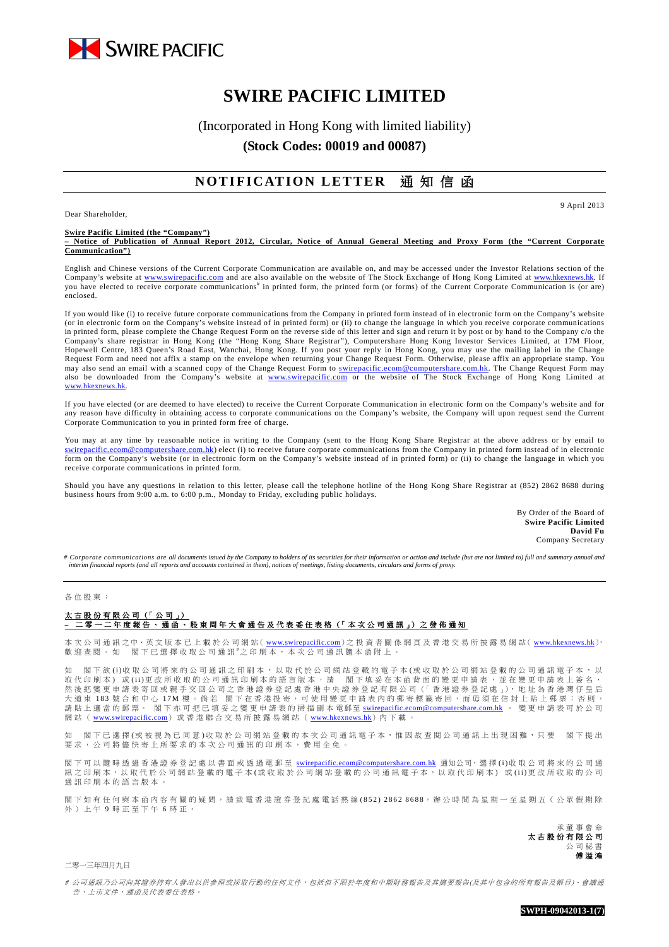

# **SWIRE PACIFIC LIMITED**

(Incorporated in Hong Kong with limited liability)

**(Stock Codes: 00019 and 00087)** 

## **NOTIFICATION LETTER** 通知信函

Dear Shareholder,

9 April 2013

#### **Swire Pacific Limited (the "Company")**

**– Notice of Publication of Annual Report 2012, Circular, Notice of Annual General Meeting and Proxy Form (the "Current Corporate Communication")** 

English and Chinese versions of the Current Corporate Communication are available on, and may be accessed under the Investor Relations section of the Company's website at www.swirepacific.com and are also available on the website of The Stock Exchange of Hong Kong Limited at www.hkexnews.hk. If you have elected to receive corporate communications<sup>#</sup> in printed form, the printed form (or forms) of the Current Corporate Communication is (or are) enclosed.

If you would like (i) to receive future corporate communications from the Company in printed form instead of in electronic form on the Company's website (or in electronic form on the Company's website instead of in printed form) or (ii) to change the language in which you receive corporate communications in printed form, please complete the Change Request Form on the reverse side of this letter and sign and return it by post or by hand to the Company c/o the Company's share registrar in Hong Kong (the "Hong Kong Share Registrar"), Computershare Hong Kong Investor Services Limited, at 17M Floor, Hopewell Centre, 183 Queen's Road East, Wanchai, Hong Kong. If you post your reply in Hong Kong, you may use the mailing label in the Change Request Form and need not affix a stamp on the envelope when returning your Change Request Form. Otherwise, please affix an appropriate stamp. You may also send an email with a scanned copy of the Change Request Form to **swirepacific.ecom@computershare.com.hk**. The Change Request Form may also be downloaded from the Company's website at www.swirepacific.com or the website of The Stock Exchange of Hong Kong Limited at www.hkexnews.hk.

If you have elected (or are deemed to have elected) to receive the Current Corporate Communication in electronic form on the Company's website and for any reason have difficulty in obtaining access to corporate communications on the Company's website, the Company will upon request send the Current Corporate Communication to you in printed form free of charge.

You may at any time by reasonable notice in writing to the Company (sent to the Hong Kong Share Registrar at the above address or by email to swirepacific.ecom@computershare.com.hk) elect (i) to receive future corporate communications from the Company in printed form instead of in electronic form on the Company's website (or in electronic form on the Company's website instead of in printed form) or (ii) to change the language in which you receive corporate communications in printed form.

Should you have any questions in relation to this letter, please call the telephone hotline of the Hong Kong Share Registrar at (852) 2862 8688 during business hours from 9:00 a.m. to 6:00 p.m., Monday to Friday, excluding public holidays.

> By Order of the Board of **Swire Pacific Limited David Fu** Company Secretary

# Corporate communications are all documents issued by the Company to holders of its securities for their information or action and include (but are not limited to) full and summary annual and<br>interim financial reports (an

### 各 位 股 東 :

#### 太古股份有限公司 (「公司」) - <sup>一 二 年 度 報 告 、 通 函 、 股 東 周 年 大 會 通 告 及 代 表 委 任 表 格 (「 本 次 公 司 通 訊 」) 之 發 佈 通 知</sup>

本 次 公 司 通 訊 之 中、英 文 版 本 已 上 載 於 公 司 網 站( www.swirepacific.com) 之 投 資 者 關 係 網 頁 及 香 港 交 易 所 披 露 易 網 站( www.hkexnews.hk), 歡 迎 查 閲 。 如 閣 下 已 選 擇 收 取 公 司 通 訊 # 之 印 刷 本 , 本 次 公 司 通 訊 隨 本 函 附 上 。

如 閣下欲 (i)收取公司將來的公司通訊之印刷本,以取代於公司網站登載的電子本(或收取於公司網站登載的公司通訊電子本,以 取 代 印 刷 本 ) 或 (ii) 更 改 所 收 取 的 公 司 通 訊 印 刷 本 的 語 言 版 本 , 請 閣 下 填 妥 在 本 函 背 面 的 變 更 申 請 表 , 並 在 變 更 申 請 表 上 簽 名 , 然 後 把 變 更 申 請 表 寄 回 或 親 手 交 回 公 司 之 香 港 證 券 登 記 處 香 港 中 央 證 券 登 記 有 限 公 司(「 香 港 證 券 登 記 處 」), 地 址 為 香 港 灣 仔 皇 后 大 道 東 183 號 合 和 中 心 17M 樓 。 倘 若 | 閣 下 在 香 港 投 寄 , 可 使 用 變 更 申 請 表 内 的 郵 寄 標 籤 寄 回 , 而 毋 須 在 信 封 上 貼 上 郵 票 ; 否 則 , 、第 貼 上 適 當 的 郵 票 。 閣 下 亦 可 把 已 填 妥 之 變 更 申 請 表 的 超 A in A in A in A in A 電 郵 in Save United States in A in a hearth cecom@computershare.com.hk 。 變 更 申 請 表 可 於 公 司 網站 ( www.swirepacific.com) 或香港聯合交易所披露易網站 ( www.hkexnews.hk) 內下載。

閣下已選擇(或被視為已同意)收取於公司網站登載的本次公司通訊電子本,惟因故查閱公司通訊上出現困難,只要 閣下提出 要求, 公司將儘快寄上所要求的本次公司通訊的印刷本, 費用全免

閣下可以 隨時透過香港證券登記處以書面或透過電郵至 swirepacific.ecom@computershare.com.hk 通知公司, 選擇 (i)收取公司將來的公司通 訊之 印刷本, 以取代於公司網站登載的電子本(或收取於公司網站登載的公司通訊電子本, 以取代印刷本) 或(ii)更改所收取的公司 通訊 印 刷 本 的 語 言 版 本

閣 下 如 有 任 何 與 本 函 內 容 有 關 的 疑 問 , 請 致 電 香 港 證 券 登 記 處 電 話 熱 線 ( 8 5 2 ) 2 8 6 2 8 6 8 8, 辦 公 時 間 為 星 期 一 至 星 期 五 ( 公 眾 假 期 除 外) 上午 9 時 正 至 下 午 6 時 正。

> 承 董 事 會 命 太 古 股 份 有 限 公 司 公 司 秘 書 傅 溢 鴻

二零一三年四月九日

# 公司通訊乃公司向其證券持有人發出以供參照或採取行動的任何文件,包括但不限於年度和中期財務報告及其摘要報告(及其中包含的所有報告及帳目)、會議通 告、 上 市文 件 、通 函 及代 表 委任 表 格。